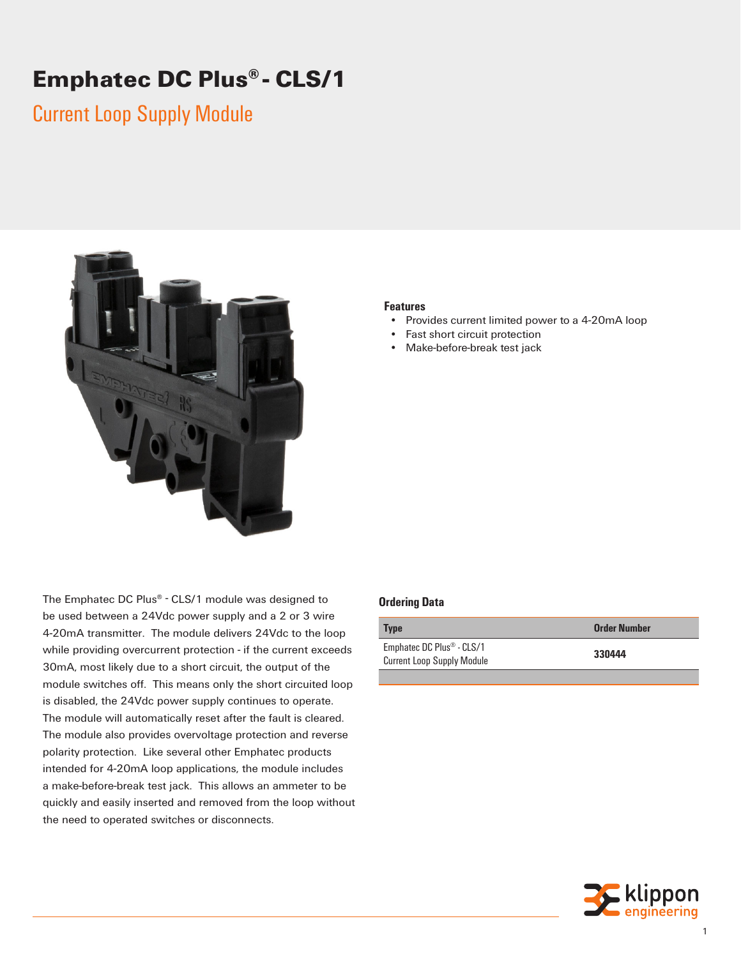# **Emphatec DC Plus® - CLS/1**

## Current Loop Supply Module



The Emphatec DC Plus® - CLS/1 module was designed to be used between a 24Vdc power supply and a 2 or 3 wire 4-20mA transmitter. The module delivers 24Vdc to the loop while providing overcurrent protection - if the current exceeds 30mA, most likely due to a short circuit, the output of the module switches off. This means only the short circuited loop is disabled, the 24Vdc power supply continues to operate. The module will automatically reset after the fault is cleared. The module also provides overvoltage protection and reverse polarity protection. Like several other Emphatec products intended for 4-20mA loop applications, the module includes a make-before-break test jack. This allows an ammeter to be quickly and easily inserted and removed from the loop without the need to operated switches or disconnects.

#### **Features**

- Provides current limited power to a 4-20mA loop
- Fast short circuit protection
- Make-before-break test jack

#### **Ordering Data**

| <b>Type</b>                                                         | Order Number |
|---------------------------------------------------------------------|--------------|
| Emphatec DC Plus <sup>®</sup> - CLS/1<br>Current Loop Supply Module | 330444       |